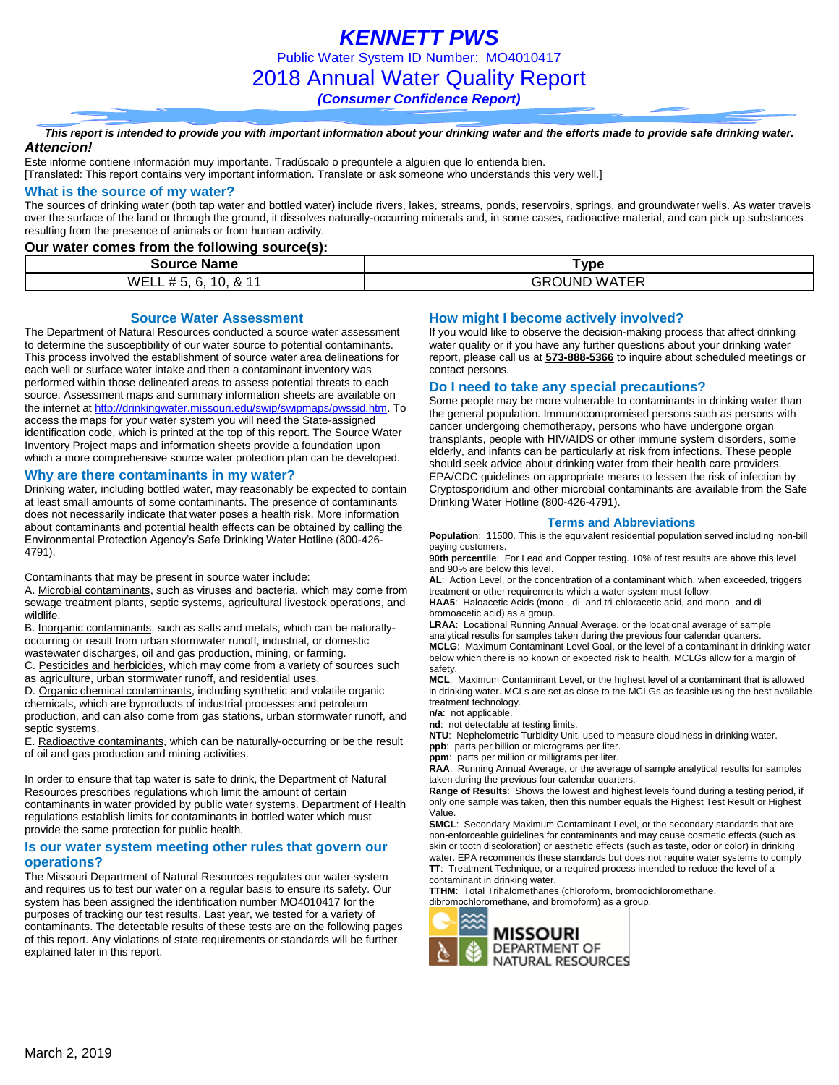*KENNETT PWS* Public Water System ID Number: MO4010417 2018 Annual Water Quality Report *(Consumer Confidence Report)*

*This report is intended to provide you with important information about your drinking water and the efforts made to provide safe drinking water. Attencion!*

Este informe contiene información muy importante. Tradúscalo o prequntele a alguien que lo entienda bien.

[Translated: This report contains very important information. Translate or ask someone who understands this very well.]

#### **What is the source of my water?**

The sources of drinking water (both tap water and bottled water) include rivers, lakes, streams, ponds, reservoirs, springs, and groundwater wells. As water travels over the surface of the land or through the ground, it dissolves naturally-occurring minerals and, in some cases, radioactive material, and can pick up substances resulting from the presence of animals or from human activity.

**Our water comes from the following source(s):**

| Name<br>Source                                  | <b>Vpe</b>                      |
|-------------------------------------------------|---------------------------------|
| .<br>WELL #<br>IU.<br>$\sim$<br>J.<br>u.<br>. . | $\cdots$<br>:OUND<br>GRC<br>WA. |

**Source Water Assessment**

The Department of Natural Resources conducted a source water assessment to determine the susceptibility of our water source to potential contaminants. This process involved the establishment of source water area delineations for each well or surface water intake and then a contaminant inventory was performed within those delineated areas to assess potential threats to each source. Assessment maps and summary information sheets are available on the internet a[t http://drinkingwater.missouri.edu/swip/swipmaps/pwssid.htm.](http://drinkingwater.missouri.edu/swip/swipmaps/pwssid.htm) To access the maps for your water system you will need the State-assigned identification code, which is printed at the top of this report. The Source Water Inventory Project maps and information sheets provide a foundation upon which a more comprehensive source water protection plan can be developed.

#### **Why are there contaminants in my water?**

Drinking water, including bottled water, may reasonably be expected to contain at least small amounts of some contaminants. The presence of contaminants does not necessarily indicate that water poses a health risk. More information about contaminants and potential health effects can be obtained by calling the Environmental Protection Agency's Safe Drinking Water Hotline (800-426- 4791).

Contaminants that may be present in source water include:

A. Microbial contaminants, such as viruses and bacteria, which may come from sewage treatment plants, septic systems, agricultural livestock operations, and wildlife.

B. Inorganic contaminants, such as salts and metals, which can be naturallyoccurring or result from urban stormwater runoff, industrial, or domestic wastewater discharges, oil and gas production, mining, or farming.

C. Pesticides and herbicides, which may come from a variety of sources such as agriculture, urban stormwater runoff, and residential uses.

D. Organic chemical contaminants, including synthetic and volatile organic

chemicals, which are byproducts of industrial processes and petroleum production, and can also come from gas stations, urban stormwater runoff, and septic systems.

E. Radioactive contaminants, which can be naturally-occurring or be the result of oil and gas production and mining activities.

In order to ensure that tap water is safe to drink, the Department of Natural Resources prescribes regulations which limit the amount of certain contaminants in water provided by public water systems. Department of Health regulations establish limits for contaminants in bottled water which must provide the same protection for public health.

### **Is our water system meeting other rules that govern our operations?**

The Missouri Department of Natural Resources regulates our water system and requires us to test our water on a regular basis to ensure its safety. Our system has been assigned the identification number MO4010417 for the purposes of tracking our test results. Last year, we tested for a variety of contaminants. The detectable results of these tests are on the following pages of this report. Any violations of state requirements or standards will be further explained later in this report.

### **How might I become actively involved?**

If you would like to observe the decision-making process that affect drinking water quality or if you have any further questions about your drinking water report, please call us at **573-888-5366** to inquire about scheduled meetings or contact persons.

### **Do I need to take any special precautions?**

Some people may be more vulnerable to contaminants in drinking water than the general population. Immunocompromised persons such as persons with cancer undergoing chemotherapy, persons who have undergone organ transplants, people with HIV/AIDS or other immune system disorders, some elderly, and infants can be particularly at risk from infections. These people should seek advice about drinking water from their health care providers. EPA/CDC guidelines on appropriate means to lessen the risk of infection by Cryptosporidium and other microbial contaminants are available from the Safe Drinking Water Hotline (800-426-4791).

#### **Terms and Abbreviations**

**Population**: 11500. This is the equivalent residential population served including non-bill paying customers.

**90th percentile**: For Lead and Copper testing. 10% of test results are above this level and 90% are below this level.

**AL**: Action Level, or the concentration of a contaminant which, when exceeded, triggers treatment or other requirements which a water system must follow.

**HAA5**: Haloacetic Acids (mono-, di- and tri-chloracetic acid, and mono- and dibromoacetic acid) as a group.

**LRAA**: Locational Running Annual Average, or the locational average of sample analytical results for samples taken during the previous four calendar quarters.

**MCLG**: Maximum Contaminant Level Goal, or the level of a contaminant in drinking water below which there is no known or expected risk to health. MCLGs allow for a margin of safety.

**MCL**: Maximum Contaminant Level, or the highest level of a contaminant that is allowed in drinking water. MCLs are set as close to the MCLGs as feasible using the best available treatment technology.

**n/a**: not applicable.

**nd**: not detectable at testing limits.

**NTU**: Nephelometric Turbidity Unit, used to measure cloudiness in drinking water. **ppb**: parts per billion or micrograms per liter.

**ppm**: parts per million or milligrams per liter.

**RAA**: Running Annual Average, or the average of sample analytical results for samples taken during the previous four calendar quarters.

**Range of Results**: Shows the lowest and highest levels found during a testing period, if only one sample was taken, then this number equals the Highest Test Result or Highest Value.

**SMCL**: Secondary Maximum Contaminant Level, or the secondary standards that are non-enforceable guidelines for contaminants and may cause cosmetic effects (such as skin or tooth discoloration) or aesthetic effects (such as taste, odor or color) in drinking water. EPA recommends these standards but does not require water systems to comply **TT**: Treatment Technique, or a required process intended to reduce the level of a contaminant in drinking water.

**TTHM**: Total Trihalomethanes (chloroform, bromodichloromethane, dibromochloromethane, and bromoform) as a group.

**NATURAL RESOURCES** 

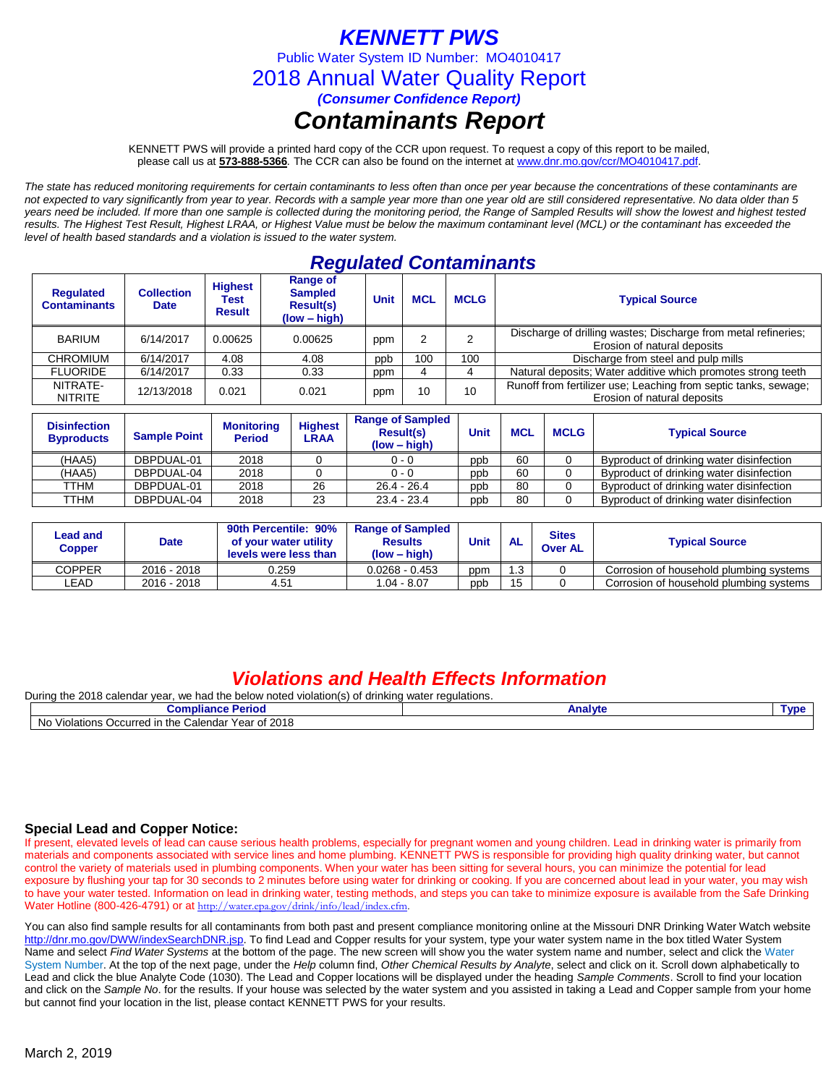## *KENNETT PWS*

Public Water System ID Number: MO4010417

2018 Annual Water Quality Report

*(Consumer Confidence Report)*

## *Contaminants Report*

KENNETT PWS will provide a printed hard copy of the CCR upon request. To request a copy of this report to be mailed, please call us at **573-888-5366***.* The CCR can also be found on the internet at www.dnr.mo.gov/ccr/MO4010417.pdf.

*The state has reduced monitoring requirements for certain contaminants to less often than once per year because the concentrations of these contaminants are not expected to vary significantly from year to year. Records with a sample year more than one year old are still considered representative. No data older than 5 years need be included. If more than one sample is collected during the monitoring period, the Range of Sampled Results will show the lowest and highest tested results. The Highest Test Result, Highest LRAA, or Highest Value must be below the maximum contaminant level (MCL) or the contaminant has exceeded the level of health based standards and a violation is issued to the water system.* 

## *Regulated Contaminants*

| <b>Regulated</b><br><b>Contaminants</b> | <b>Collection</b><br><b>Date</b> | <b>Highest</b><br>Test<br><b>Result</b> | <b>Range of</b><br><b>Sampled</b><br><b>Result(s)</b><br>$(low - high)$ | <b>Unit</b> | <b>MCL</b> | <b>MCLG</b> | <b>Typical Source</b>                                                                          |  |
|-----------------------------------------|----------------------------------|-----------------------------------------|-------------------------------------------------------------------------|-------------|------------|-------------|------------------------------------------------------------------------------------------------|--|
| <b>BARIUM</b>                           | 6/14/2017<br>0.00625<br>0.00625  |                                         |                                                                         | ppm         |            |             | Discharge of drilling wastes; Discharge from metal refineries;<br>Erosion of natural deposits  |  |
| <b>CHROMIUM</b>                         | 6/14/2017                        | 4.08                                    | 4.08                                                                    | ppb         | 100        | 100         | Discharge from steel and pulp mills                                                            |  |
| <b>FLUORIDE</b>                         | 6/14/2017                        | 0.33                                    | 0.33                                                                    | ppm         |            |             | Natural deposits; Water additive which promotes strong teeth                                   |  |
| NITRATE-<br><b>NITRITE</b>              | 12/13/2018                       | 0.021                                   | 0.021                                                                   | ppm         | 10         | 10          | Runoff from fertilizer use; Leaching from septic tanks, sewage;<br>Erosion of natural deposits |  |

| <b>Disinfection</b><br><b>Byproducts</b> | <b>Sample Point</b> | <b>Monitoring</b><br><b>Period</b> | <b>Highest</b><br>LRAA | <b>Range of Sampled</b><br><b>Result(s)</b><br>$(low - high)$ | Unit | <b>MCL</b> | <b>MCLG</b> | <b>Typical Source</b>                    |
|------------------------------------------|---------------------|------------------------------------|------------------------|---------------------------------------------------------------|------|------------|-------------|------------------------------------------|
| (HAA5)                                   | DBPDUAL-01          | 2018                               |                        | $0 - 0$                                                       | ppb  | 60         |             | Byproduct of drinking water disinfection |
| (HAA5)                                   | DBPDUAL-04          | 2018                               |                        | $0 - 0$                                                       | ppb  | 60         |             | Byproduct of drinking water disinfection |
| TTHM                                     | DBPDUAL-01          | 2018                               | 26                     | $26.4 - 26.4$                                                 | ppb  | 80         |             | Byproduct of drinking water disinfection |
| TTHM                                     | DBPDUAL-04          | 2018                               | 23                     | $23.4 - 23.4$                                                 | ppb  | 80         |             | Byproduct of drinking water disinfection |

| Lead and<br><b>Date</b><br>Copper |             | 90th Percentile: 90%<br><b>Range of Sampled</b><br>of your water utility<br><b>Results</b><br>$(low - high)$<br>levels were less than |                  | <b>Unit</b><br><b>AL</b> |    | <b>Sites</b><br><b>Over AL</b> | <b>Typical Source</b>                   |
|-----------------------------------|-------------|---------------------------------------------------------------------------------------------------------------------------------------|------------------|--------------------------|----|--------------------------------|-----------------------------------------|
| <b>COPPER</b>                     | 2016 - 2018 | 0.259                                                                                                                                 | $0.0268 - 0.453$ | ppm                      | .3 |                                | Corrosion of household plumbing systems |
| ∟EAD                              | 2016 - 2018 | 4.51                                                                                                                                  | 1.04 - 8.07      | ppb                      | 15 | ∩                              | Corrosion of household plumbing systems |

### *Violations and Health Effects Information*

| Durina<br>201۶ مth<br>we had the<br>· regulations.<br>.s calendar vear<br>below<br>v noted violation(s)<br>irinking water<br>ΩT<br>u |         |      |  |  |  |  |
|--------------------------------------------------------------------------------------------------------------------------------------|---------|------|--|--|--|--|
| <b>Periog</b><br>minmax<br>compliance.                                                                                               | Analyte | Tvn€ |  |  |  |  |
| ECalendar Year of 2018<br>No<br>the (<br>Violations<br>Occurred II                                                                   |         |      |  |  |  |  |

### **Special Lead and Copper Notice:**

If present, elevated levels of lead can cause serious health problems, especially for pregnant women and young children. Lead in drinking water is primarily from materials and components associated with service lines and home plumbing. KENNETT PWS is responsible for providing high quality drinking water, but cannot control the variety of materials used in plumbing components. When your water has been sitting for several hours, you can minimize the potential for lead exposure by flushing your tap for 30 seconds to 2 minutes before using water for drinking or cooking. If you are concerned about lead in your water, you may wish to have your water tested. Information on lead in drinking water, testing methods, and steps you can take to minimize exposure is available from the Safe Drinking Water Hotline (800-426-4791) or at [http://water.epa.gov/drink/info/lead/index.cfm.](http://water.epa.gov/drink/info/lead/index.cfm)

You can also find sample results for all contaminants from both past and present compliance monitoring online at the Missouri DNR Drinking Water Watch website [http://dnr.mo.gov/DWW/indexSearchDNR.jsp.](http://dnr.mo.gov/DWW/indexSearchDNR.jsp) To find Lead and Copper results for your system, type your water system name in the box titled Water System Name and select *Find Water Systems* at the bottom of the page. The new screen will show you the water system name and number, select and click the Water System Number. At the top of the next page, under the *Help* column find, *Other Chemical Results by Analyte*, select and click on it. Scroll down alphabetically to Lead and click the blue Analyte Code (1030). The Lead and Copper locations will be displayed under the heading *Sample Comments*. Scroll to find your location and click on the *Sample No*. for the results. If your house was selected by the water system and you assisted in taking a Lead and Copper sample from your home but cannot find your location in the list, please contact KENNETT PWS for your results.